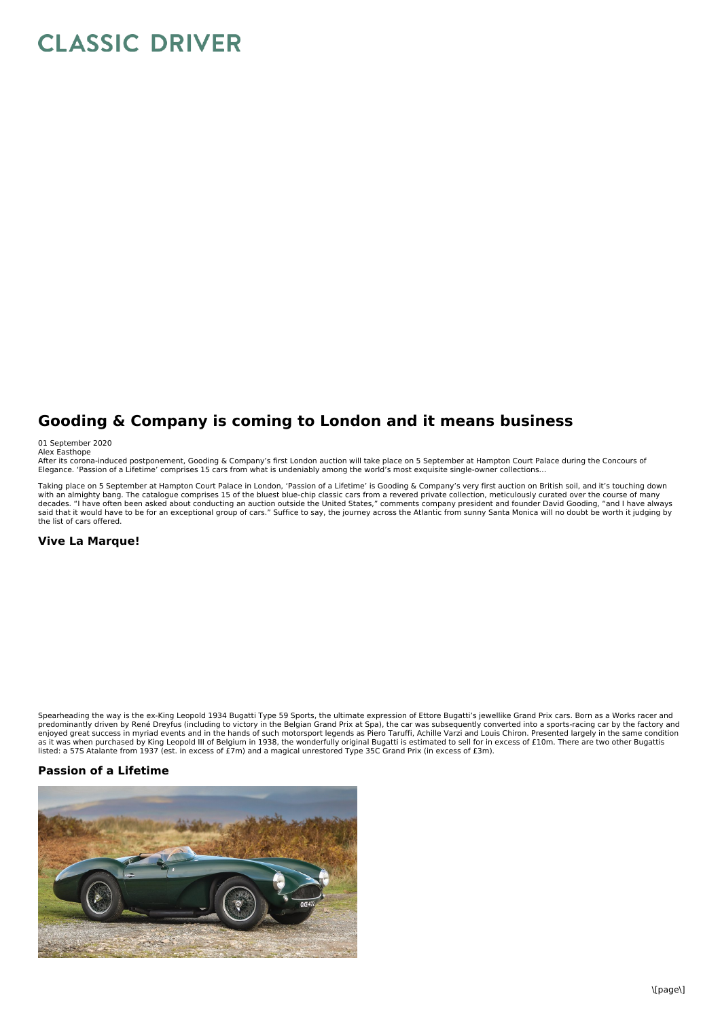## **CLASSIC DRIVER**

## **Gooding & Company is coming to London and it means business**

01 September 2020

Alex Easthope<br>After its corona-induced postponement, Gooding & Company's first London auction will take place on 5 September at Hampton Court Palace during the Concours of Elegance. 'Passion of a Lifetime' comprises 15 cars from what is undeniably among the world's most exquisite single-owner collections…

Taking place on 5 September at Hampton Court Palace in London, 'Passion of a Lifetime' is Gooding & Company's very first auction on British soil, and it's touching down with an almighty bang. The catalogue comprises 15 of the bluest blue-chip classic cars from a revered private collection, meticulously curated over the course of many<br>decades. "I have often been asked about conducting an a the list of cars offered.

## **Vive La Marque!**

Spearheading the way is the ex-King Leopold 1934 Bugatti Type 59 Sports, the ultimate expression of Ettore Bugatti's jewellike Grand Prix cars. Born as a Works racer and predominantly driven by René Dreyfus (including to victory in the Belgian Grand Prix at Spa), the car was subsequently converted into a sports-racing car by the factory and<br>enjoyed great success in myriad events and in the as it was when purchased by King Leopold III of Belgium in 1938, the wonderfully original Bugatti is estimated to sell for in excess of £10m. There are two other Bugattis<br>listed: a 57S Atalante from 1937 (est. in excess of

## **Passion of a Lifetime**